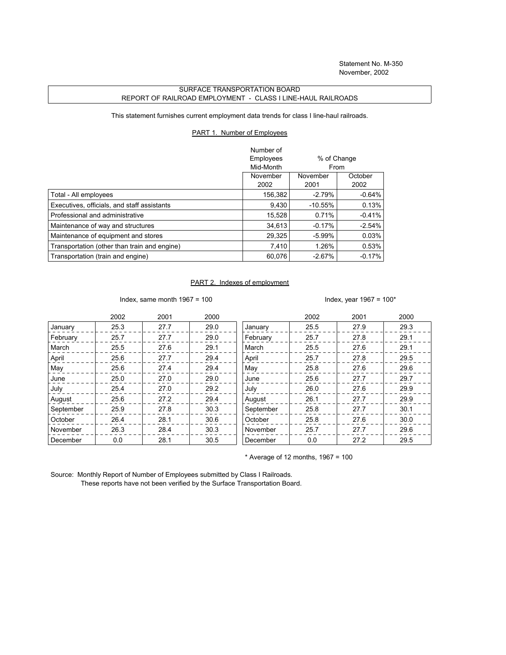## SURFACE TRANSPORTATION BOARD REPORT OF RAILROAD EMPLOYMENT - CLASS I LINE-HAUL RAILROADS

This statement furnishes current employment data trends for class I line-haul railroads.

## PART 1. Number of Employees

|                                              | Number of |             |           |
|----------------------------------------------|-----------|-------------|-----------|
|                                              | Employees | % of Change |           |
|                                              | Mid-Month | From        |           |
|                                              | November  | November    | October   |
|                                              | 2002      | 2001        | 2002      |
| Total - All employees                        | 156,382   | $-2.79%$    | $-0.64\%$ |
| Executives, officials, and staff assistants  | 9,430     | $-10.55%$   | 0.13%     |
| Professional and administrative              | 15.528    | 0.71%       | $-0.41%$  |
| Maintenance of way and structures            | 34.613    | $-0.17%$    | $-2.54%$  |
| Maintenance of equipment and stores          | 29,325    | $-5.99\%$   | 0.03%     |
| Transportation (other than train and engine) | 7.410     | 1.26%       | 0.53%     |
| Transportation (train and engine)            | 60.076    | $-2.67%$    | $-0.17%$  |

## PART 2. Indexes of employment

Index, same month 1967 = 100  $\blacksquare$ 

|           | 2002 | 2001 | 2000 |           | 2002 | 2001 | 2000 |
|-----------|------|------|------|-----------|------|------|------|
| January   | 25.3 | 27.7 | 29.0 | January   | 25.5 | 27.9 | 29.3 |
| February  | 25.7 | 27.7 | 29.0 | February  | 25.7 | 27.8 | 29.1 |
| March     | 25.5 | 27.6 | 29.1 | March     | 25.5 | 27.6 | 29.1 |
| April     | 25.6 | 27.7 | 29.4 | April     | 25.7 | 27.8 | 29.5 |
| May       | 25.6 | 27.4 | 29.4 | May       | 25.8 | 27.6 | 29.6 |
| June      | 25.0 | 27.0 | 29.0 | June      | 25.6 | 27.7 | 29.7 |
| July      | 25.4 | 27.0 | 29.2 | July      | 26.0 | 27.6 | 29.9 |
| August    | 25.6 | 27.2 | 29.4 | August    | 26.1 | 27.7 | 29.9 |
| September | 25.9 | 27.8 | 30.3 | September | 25.8 | 27.7 | 30.1 |
| October   | 26.4 | 28.1 | 30.6 | October   | 25.8 | 27.6 | 30.0 |
| November  | 26.3 | 28.4 | 30.3 | November  | 25.7 | 27.7 | 29.6 |
| December  | 0.0  | 28.1 | 30.5 | December  | 0.0  | 27.2 | 29.5 |

 $*$  Average of 12 months, 1967 = 100

Source: Monthly Report of Number of Employees submitted by Class I Railroads. These reports have not been verified by the Surface Transportation Board.